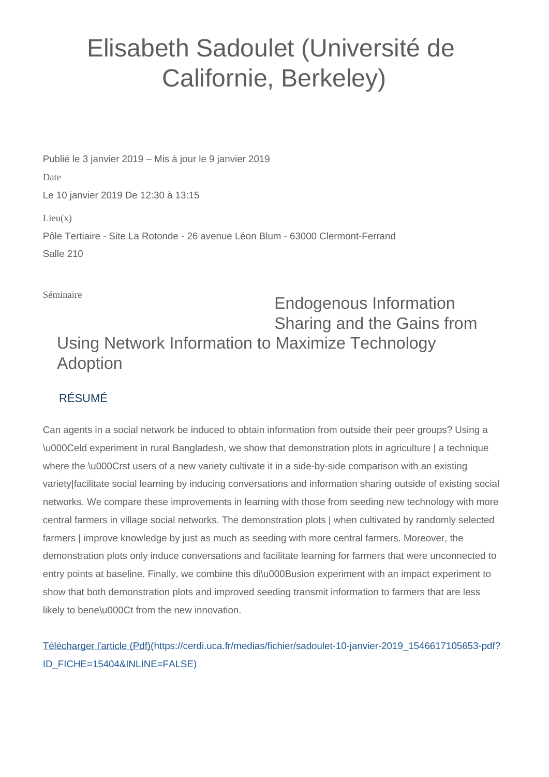## Elisabeth Sadoulet (Université de Californie, Berkeley)

Publié le 3 janvier 2019 – Mis à jour le 9 janvier 2019 Date Le 10 janvier 2019 De 12:30 à 13:15  $Lieu(x)$ Pôle Tertiaire - Site La Rotonde - 26 avenue Léon Blum - 63000 Clermont-Ferrand Salle 210

Séminaire

## Endogenous Information Sharing and the Gains from Using Network Information to Maximize Technology Adoption

## RÉSUMÉ

Can agents in a social network be induced to obtain information from outside their peer groups? Using a \u000Celd experiment in rural Bangladesh, we show that demonstration plots in agriculture | a technique where the \u000Crst users of a new variety cultivate it in a side-by-side comparison with an existing variety|facilitate social learning by inducing conversations and information sharing outside of existing social networks. We compare these improvements in learning with those from seeding new technology with more central farmers in village social networks. The demonstration plots | when cultivated by randomly selected farmers | improve knowledge by just as much as seeding with more central farmers. Moreover, the demonstration plots only induce conversations and facilitate learning for farmers that were unconnected to entry points at baseline. Finally, we combine this di\u000Busion experiment with an impact experiment to show that both demonstration plots and improved seeding transmit information to farmers that are less likely to bene\u000Ct from the new innovation.

[Télécharger l'article \(Pdf\)\(https://cerdi.uca.fr/medias/fichier/sadoulet-10-janvier-2019\\_1546617105653-pdf?](https://cerdi.uca.fr/medias/fichier/sadoulet-10-janvier-2019_1546617105653-pdf?ID_FICHE=15404&INLINE=FALSE) [ID\\_FICHE=15404&INLINE=FALSE\)](https://cerdi.uca.fr/medias/fichier/sadoulet-10-janvier-2019_1546617105653-pdf?ID_FICHE=15404&INLINE=FALSE)